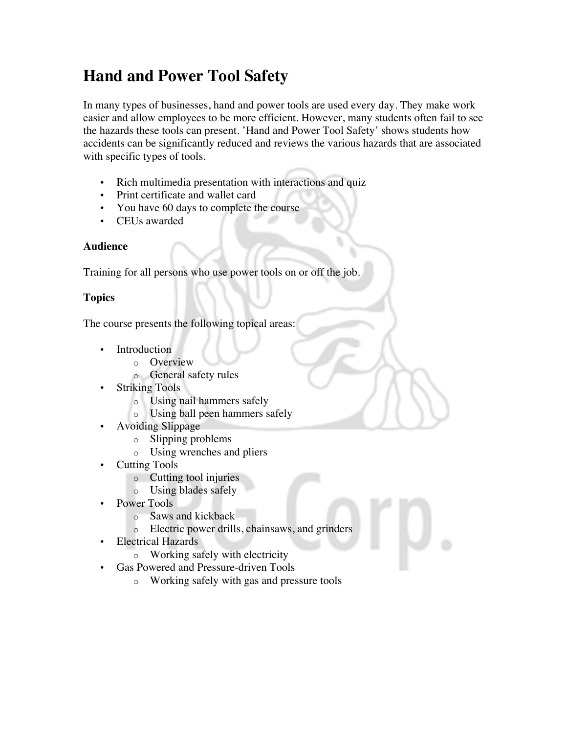# **Hand and Power Tool Safety**

In many types of businesses, hand and power tools are used every day. They make work easier and allow employees to be more efficient. However, many students often fail to see the hazards these tools can present. 'Hand and Power Tool Safety' shows students how accidents can be significantly reduced and reviews the various hazards that are associated with specific types of tools.

- Rich multimedia presentation with interactions and quiz
- Print certificate and wallet card
- You have 60 days to complete the course
- CEUs awarded

## **Audience**

Training for all persons who use power tools on or off the job.

# **Topics**

The course presents the following topical areas:

- Introduction
	- o Overview
	- o General safety rules
- Striking Tools
	- o Using nail hammers safely
	- o Using ball peen hammers safely
- Avoiding Slippage
	- o Slipping problems
	- o Using wrenches and pliers
- Cutting Tools
	- o Cutting tool injuries
	- o Using blades safely
- Power Tools
	- o Saws and kickback
	- o Electric power drills, chainsaws, and grinders
- Electrical Hazards
	- o Working safely with electricity
- Gas Powered and Pressure-driven Tools
	- o Working safely with gas and pressure tools